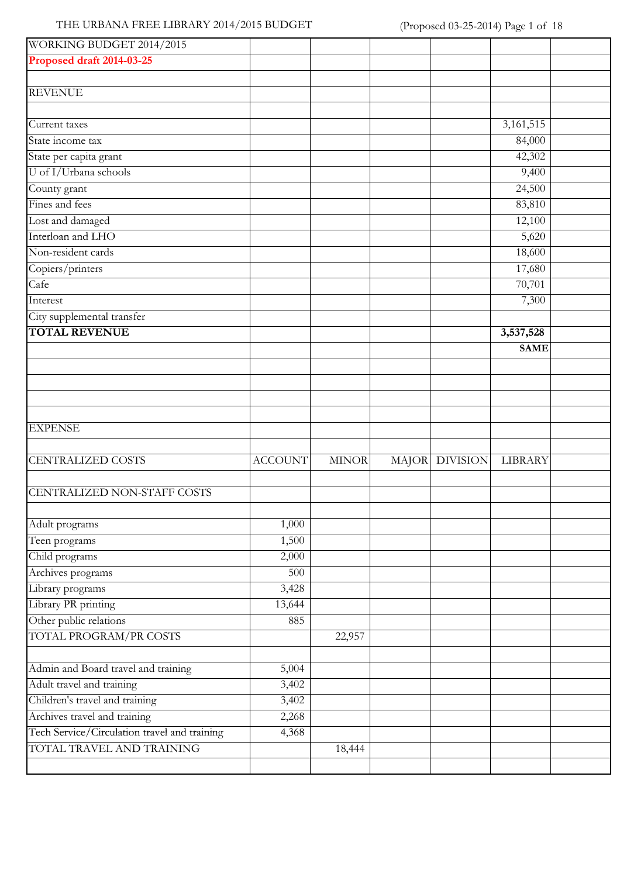# THE URBANA FREE LIBRARY 2014/2015 BUDGET (Proposed 03-25-2014) Page 1 of 18

| WORKING BUDGET 2014/2015                     |                |              |              |                 |                          |  |
|----------------------------------------------|----------------|--------------|--------------|-----------------|--------------------------|--|
| Proposed draft 2014-03-25                    |                |              |              |                 |                          |  |
|                                              |                |              |              |                 |                          |  |
| <b>REVENUE</b>                               |                |              |              |                 |                          |  |
| Current taxes                                |                |              |              |                 | 3, 161, 515              |  |
| State income tax                             |                |              |              |                 | 84,000                   |  |
| State per capita grant                       |                |              |              |                 | 42,302                   |  |
| U of I/Urbana schools                        |                |              |              |                 | 9,400                    |  |
| County grant                                 |                |              |              |                 | 24,500                   |  |
| Fines and fees                               |                |              |              |                 | 83,810                   |  |
| Lost and damaged                             |                |              |              |                 | 12,100                   |  |
| Interloan and LHO                            |                |              |              |                 | 5,620                    |  |
| Non-resident cards                           |                |              |              |                 | 18,600                   |  |
| Copiers/printers                             |                |              |              |                 | 17,680                   |  |
| Cafe                                         |                |              |              |                 | 70,701                   |  |
| Interest                                     |                |              |              |                 | 7,300                    |  |
| City supplemental transfer                   |                |              |              |                 |                          |  |
| <b>TOTAL REVENUE</b>                         |                |              |              |                 | 3,537,528<br><b>SAME</b> |  |
|                                              |                |              |              |                 |                          |  |
|                                              |                |              |              |                 |                          |  |
| <b>EXPENSE</b>                               |                |              |              |                 |                          |  |
| <b>CENTRALIZED COSTS</b>                     | <b>ACCOUNT</b> | <b>MINOR</b> | <b>MAJOR</b> | <b>DIVISION</b> | LIBRARY                  |  |
| CENTRALIZED NON-STAFF COSTS                  |                |              |              |                 |                          |  |
| Adult programs                               | 1,000          |              |              |                 |                          |  |
| Teen programs                                | 1,500          |              |              |                 |                          |  |
| Child programs                               | 2,000          |              |              |                 |                          |  |
| Archives programs                            | 500            |              |              |                 |                          |  |
| Library programs                             | 3,428          |              |              |                 |                          |  |
| Library PR printing                          | 13,644         |              |              |                 |                          |  |
| Other public relations                       | 885            |              |              |                 |                          |  |
| TOTAL PROGRAM/PR COSTS                       |                | 22,957       |              |                 |                          |  |
| Admin and Board travel and training          | 5,004          |              |              |                 |                          |  |
| Adult travel and training                    | 3,402          |              |              |                 |                          |  |
| Children's travel and training               | 3,402          |              |              |                 |                          |  |
| Archives travel and training                 | 2,268          |              |              |                 |                          |  |
| Tech Service/Circulation travel and training | 4,368          |              |              |                 |                          |  |
| TOTAL TRAVEL AND TRAINING                    |                | 18,444       |              |                 |                          |  |
|                                              |                |              |              |                 |                          |  |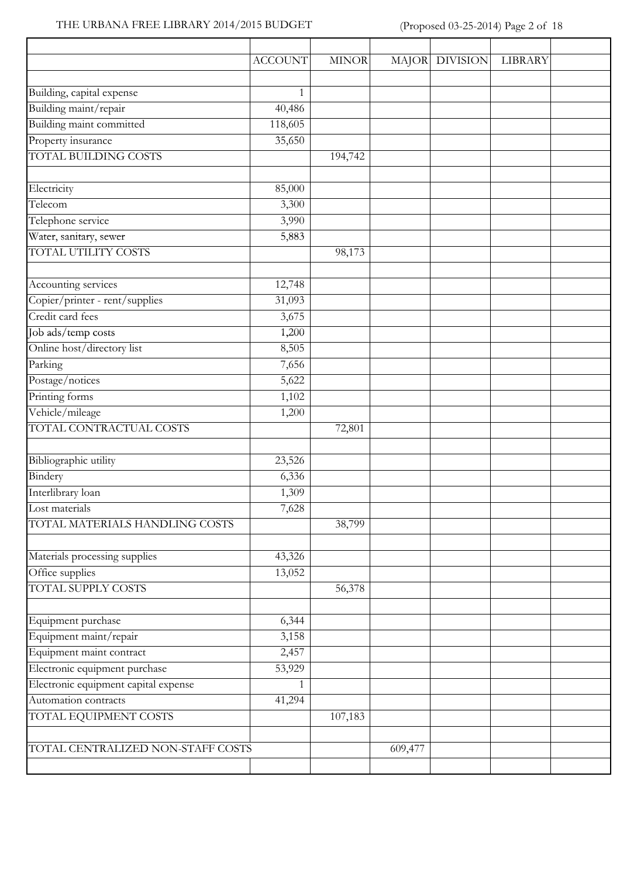### THE URBANA FREE LIBRARY 2014/2015 BUDGET (Proposed 03-25-2014) Page 2 of 18

|                                      | <b>ACCOUNT</b> | <b>MINOR</b> | <b>MAJOR</b> | <b>DIVISION</b> | LIBRARY |  |
|--------------------------------------|----------------|--------------|--------------|-----------------|---------|--|
| Building, capital expense            | 1              |              |              |                 |         |  |
| Building maint/repair                | 40,486         |              |              |                 |         |  |
| Building maint committed             | 118,605        |              |              |                 |         |  |
| Property insurance                   |                |              |              |                 |         |  |
| <b>TOTAL BUILDING COSTS</b>          | 35,650         |              |              |                 |         |  |
|                                      |                | 194,742      |              |                 |         |  |
| Electricity                          | 85,000         |              |              |                 |         |  |
| Telecom                              | 3,300          |              |              |                 |         |  |
| Telephone service                    | 3,990          |              |              |                 |         |  |
| Water, sanitary, sewer               | 5,883          |              |              |                 |         |  |
| TOTAL UTILITY COSTS                  |                | 98,173       |              |                 |         |  |
| Accounting services                  | 12,748         |              |              |                 |         |  |
| Copier/printer - rent/supplies       | 31,093         |              |              |                 |         |  |
| Credit card fees                     | 3,675          |              |              |                 |         |  |
| Job ads/temp costs                   | 1,200          |              |              |                 |         |  |
| Online host/directory list           | 8,505          |              |              |                 |         |  |
| Parking                              | 7,656          |              |              |                 |         |  |
| Postage/notices                      | 5,622          |              |              |                 |         |  |
| Printing forms                       | 1,102          |              |              |                 |         |  |
| Vehicle/mileage                      | 1,200          |              |              |                 |         |  |
| TOTAL CONTRACTUAL COSTS              |                | 72,801       |              |                 |         |  |
| Bibliographic utility                | 23,526         |              |              |                 |         |  |
| Bindery                              | 6,336          |              |              |                 |         |  |
| Interlibrary loan                    | 1,309          |              |              |                 |         |  |
| Lost materials                       | 7,628          |              |              |                 |         |  |
| TOTAL MATERIALS HANDLING COSTS       |                | 38,799       |              |                 |         |  |
| Materials processing supplies        | 43,326         |              |              |                 |         |  |
| Office supplies                      | 13,052         |              |              |                 |         |  |
| <b>TOTAL SUPPLY COSTS</b>            |                | 56,378       |              |                 |         |  |
|                                      |                |              |              |                 |         |  |
| Equipment purchase                   | 6,344          |              |              |                 |         |  |
| Equipment maint/repair               | 3,158          |              |              |                 |         |  |
| Equipment maint contract             | 2,457          |              |              |                 |         |  |
| Electronic equipment purchase        | 53,929         |              |              |                 |         |  |
| Electronic equipment capital expense | 1              |              |              |                 |         |  |
| Automation contracts                 | 41,294         |              |              |                 |         |  |
| <b>TOTAL EQUIPMENT COSTS</b>         |                | 107,183      |              |                 |         |  |
|                                      |                |              |              |                 |         |  |
| TOTAL CENTRALIZED NON-STAFF COSTS    |                |              | 609,477      |                 |         |  |
|                                      |                |              |              |                 |         |  |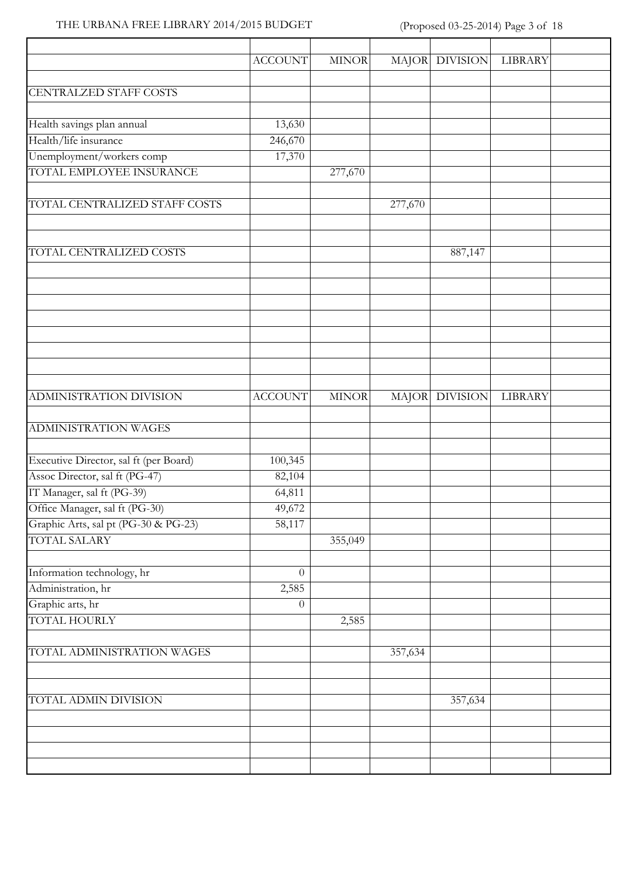### THE URBANA FREE LIBRARY 2014/2015 BUDGET (Proposed 03-25-2014) Page 3 of 18

 $\overline{\phantom{a}}$ 

|                                        | <b>ACCOUNT</b>   | <b>MINOR</b> |         | MAJOR DIVISION | <b>LIBRARY</b> |
|----------------------------------------|------------------|--------------|---------|----------------|----------------|
| CENTRALZED STAFF COSTS                 |                  |              |         |                |                |
|                                        |                  |              |         |                |                |
| Health savings plan annual             | 13,630           |              |         |                |                |
| Health/life insurance                  | 246,670          |              |         |                |                |
| Unemployment/workers comp              | 17,370           |              |         |                |                |
| TOTAL EMPLOYEE INSURANCE               |                  | 277,670      |         |                |                |
| TOTAL CENTRALIZED STAFF COSTS          |                  |              | 277,670 |                |                |
|                                        |                  |              |         |                |                |
| TOTAL CENTRALIZED COSTS                |                  |              |         | 887,147        |                |
|                                        |                  |              |         |                |                |
|                                        |                  |              |         |                |                |
|                                        |                  |              |         |                |                |
|                                        |                  |              |         |                |                |
|                                        |                  |              |         |                |                |
| ADMINISTRATION DIVISION                | <b>ACCOUNT</b>   | <b>MINOR</b> |         | MAJOR DIVISION | LIBRARY        |
| <b>ADMINISTRATION WAGES</b>            |                  |              |         |                |                |
| Executive Director, sal ft (per Board) | 100,345          |              |         |                |                |
| Assoc Director, sal ft (PG-47)         | 82,104           |              |         |                |                |
| IT Manager, sal ft (PG-39)             | 64,811           |              |         |                |                |
| Office Manager, sal ft (PG-30)         | 49,672           |              |         |                |                |
| Graphic Arts, sal pt (PG-30 & PG-23)   | 58,117           |              |         |                |                |
| <b>TOTAL SALARY</b>                    |                  | 355,049      |         |                |                |
| Information technology, hr             | $\theta$         |              |         |                |                |
| Administration, hr                     | 2,585            |              |         |                |                |
| Graphic arts, hr                       | $\boldsymbol{0}$ |              |         |                |                |
| <b>TOTAL HOURLY</b>                    |                  | 2,585        |         |                |                |
|                                        |                  |              |         |                |                |
| TOTAL ADMINISTRATION WAGES             |                  |              | 357,634 |                |                |
|                                        |                  |              |         |                |                |
| TOTAL ADMIN DIVISION                   |                  |              |         | 357,634        |                |
|                                        |                  |              |         |                |                |
|                                        |                  |              |         |                |                |
|                                        |                  |              |         |                |                |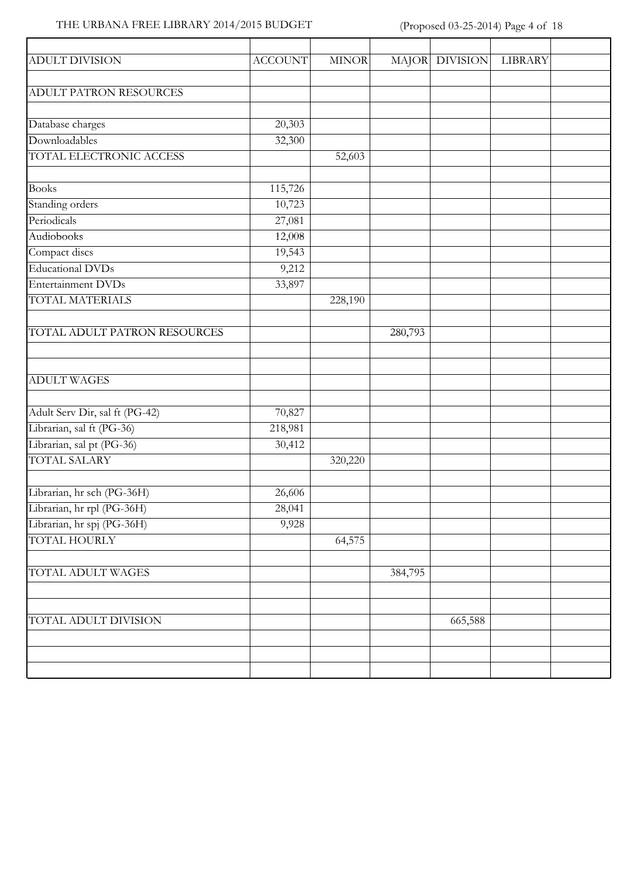### THE URBANA FREE LIBRARY 2014/2015 BUDGET (Proposed 03-25-2014) Page 4 of 18

| <b>ADULT DIVISION</b>          | <b>ACCOUNT</b> | <b>MINOR</b> |         | MAJOR DIVISION | <b>LIBRARY</b> |  |
|--------------------------------|----------------|--------------|---------|----------------|----------------|--|
|                                |                |              |         |                |                |  |
| ADULT PATRON RESOURCES         |                |              |         |                |                |  |
| Database charges               | 20,303         |              |         |                |                |  |
| Downloadables                  | 32,300         |              |         |                |                |  |
| TOTAL ELECTRONIC ACCESS        |                | 52,603       |         |                |                |  |
|                                |                |              |         |                |                |  |
| <b>Books</b>                   | 115,726        |              |         |                |                |  |
| Standing orders                | 10,723         |              |         |                |                |  |
| Periodicals                    | 27,081         |              |         |                |                |  |
| Audiobooks                     | 12,008         |              |         |                |                |  |
| Compact discs                  | 19,543         |              |         |                |                |  |
| <b>Educational DVDs</b>        | 9,212          |              |         |                |                |  |
| Entertainment DVDs             | 33,897         |              |         |                |                |  |
| TOTAL MATERIALS                |                | 228,190      |         |                |                |  |
|                                |                |              |         |                |                |  |
| TOTAL ADULT PATRON RESOURCES   |                |              | 280,793 |                |                |  |
|                                |                |              |         |                |                |  |
|                                |                |              |         |                |                |  |
| <b>ADULT WAGES</b>             |                |              |         |                |                |  |
|                                |                |              |         |                |                |  |
| Adult Serv Dir, sal ft (PG-42) | 70,827         |              |         |                |                |  |
| Librarian, sal ft (PG-36)      | 218,981        |              |         |                |                |  |
| Librarian, sal pt (PG-36)      | 30,412         |              |         |                |                |  |
| <b>TOTAL SALARY</b>            |                | 320,220      |         |                |                |  |
|                                |                |              |         |                |                |  |
| Librarian, hr sch (PG-36H)     | 26,606         |              |         |                |                |  |
| Librarian, hr rpl (PG-36H)     | 28,041         |              |         |                |                |  |
| Librarian, hr spj (PG-36H)     | 9,928          |              |         |                |                |  |
| <b>TOTAL HOURLY</b>            |                | 64,575       |         |                |                |  |
|                                |                |              |         |                |                |  |
| TOTAL ADULT WAGES              |                |              | 384,795 |                |                |  |
|                                |                |              |         |                |                |  |
|                                |                |              |         |                |                |  |
| TOTAL ADULT DIVISION           |                |              |         | 665,588        |                |  |
|                                |                |              |         |                |                |  |
|                                |                |              |         |                |                |  |
|                                |                |              |         |                |                |  |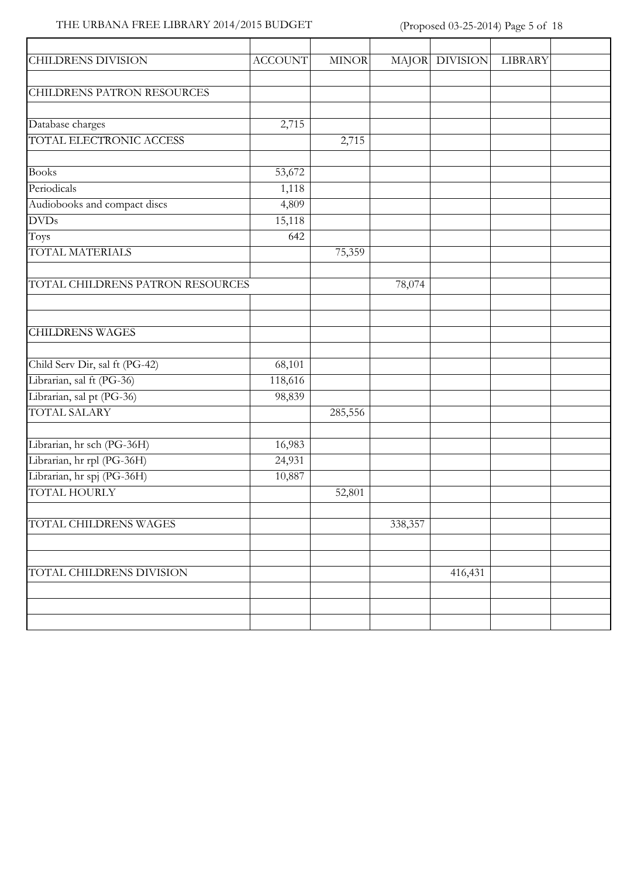### THE URBANA FREE LIBRARY 2014/2015 BUDGET (Proposed 03-25-2014) Page 5 of 18

| <b>CHILDRENS DIVISION</b>         | <b>ACCOUNT</b> | <b>MINOR</b> |         | MAJOR DIVISION | LIBRARY |  |
|-----------------------------------|----------------|--------------|---------|----------------|---------|--|
| <b>CHILDRENS PATRON RESOURCES</b> |                |              |         |                |         |  |
|                                   |                |              |         |                |         |  |
| Database charges                  | 2,715          |              |         |                |         |  |
| TOTAL ELECTRONIC ACCESS           |                | 2,715        |         |                |         |  |
| <b>Books</b>                      | 53,672         |              |         |                |         |  |
| Periodicals                       | 1,118          |              |         |                |         |  |
| Audiobooks and compact discs      | 4,809          |              |         |                |         |  |
| <b>DVDs</b>                       | 15,118         |              |         |                |         |  |
| Toys                              | 642            |              |         |                |         |  |
| <b>TOTAL MATERIALS</b>            |                | 75,359       |         |                |         |  |
| TOTAL CHILDRENS PATRON RESOURCES  |                |              | 78,074  |                |         |  |
|                                   |                |              |         |                |         |  |
| <b>CHILDRENS WAGES</b>            |                |              |         |                |         |  |
| Child Serv Dir, sal ft (PG-42)    | 68,101         |              |         |                |         |  |
| Librarian, sal ft (PG-36)         | 118,616        |              |         |                |         |  |
| Librarian, sal pt (PG-36)         | 98,839         |              |         |                |         |  |
| <b>TOTAL SALARY</b>               |                | 285,556      |         |                |         |  |
|                                   |                |              |         |                |         |  |
| Librarian, hr sch (PG-36H)        | 16,983         |              |         |                |         |  |
| Librarian, hr rpl (PG-36H)        | 24,931         |              |         |                |         |  |
| Librarian, hr spj (PG-36H)        | 10,887         |              |         |                |         |  |
| <b>TOTAL HOURLY</b>               |                | 52,801       |         |                |         |  |
| TOTAL CHILDRENS WAGES             |                |              | 338,357 |                |         |  |
|                                   |                |              |         |                |         |  |
|                                   |                |              |         |                |         |  |
| TOTAL CHILDRENS DIVISION          |                |              |         | 416,431        |         |  |
|                                   |                |              |         |                |         |  |
|                                   |                |              |         |                |         |  |
|                                   |                |              |         |                |         |  |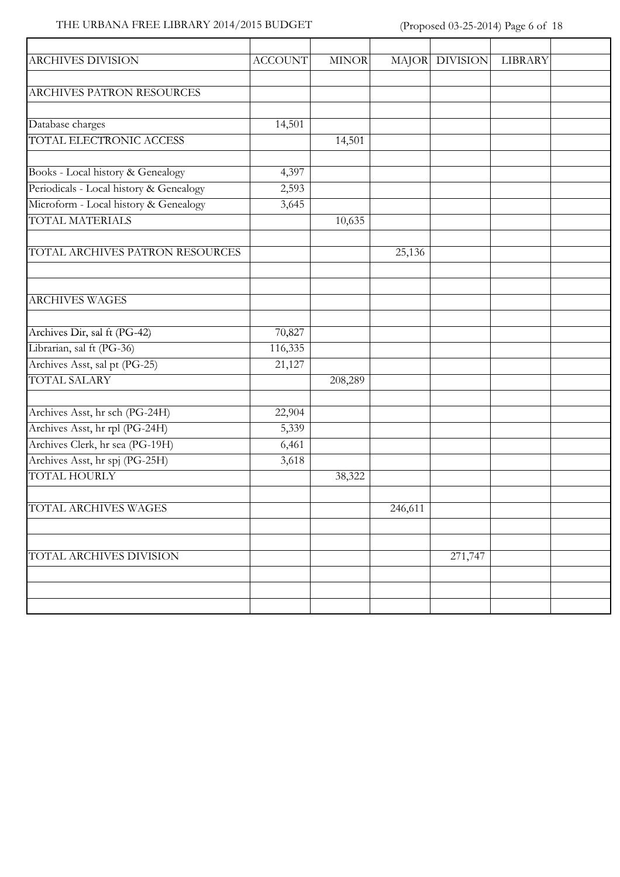### THE URBANA FREE LIBRARY 2014/2015 BUDGET (Proposed 03-25-2014) Page 6 of 18

| <b>ARCHIVES DIVISION</b>                | <b>ACCOUNT</b> | <b>MINOR</b> |         | MAJOR DIVISION | <b>LIBRARY</b> |  |
|-----------------------------------------|----------------|--------------|---------|----------------|----------------|--|
|                                         |                |              |         |                |                |  |
| ARCHIVES PATRON RESOURCES               |                |              |         |                |                |  |
| Database charges                        | 14,501         |              |         |                |                |  |
| TOTAL ELECTRONIC ACCESS                 |                | 14,501       |         |                |                |  |
|                                         |                |              |         |                |                |  |
| Books - Local history & Genealogy       | 4,397          |              |         |                |                |  |
| Periodicals - Local history & Genealogy | 2,593          |              |         |                |                |  |
| Microform - Local history & Genealogy   | 3,645          |              |         |                |                |  |
| <b>TOTAL MATERIALS</b>                  |                | 10,635       |         |                |                |  |
| TOTAL ARCHIVES PATRON RESOURCES         |                |              | 25,136  |                |                |  |
|                                         |                |              |         |                |                |  |
|                                         |                |              |         |                |                |  |
| <b>ARCHIVES WAGES</b>                   |                |              |         |                |                |  |
|                                         |                |              |         |                |                |  |
| Archives Dir, sal ft (PG-42)            | 70,827         |              |         |                |                |  |
| Librarian, sal ft (PG-36)               | 116,335        |              |         |                |                |  |
| Archives Asst, sal pt (PG-25)           | 21,127         |              |         |                |                |  |
| <b>TOTAL SALARY</b>                     |                | 208,289      |         |                |                |  |
|                                         |                |              |         |                |                |  |
| Archives Asst, hr sch (PG-24H)          | 22,904         |              |         |                |                |  |
| Archives Asst, hr rpl (PG-24H)          | 5,339          |              |         |                |                |  |
| Archives Clerk, hr sea (PG-19H)         | 6,461          |              |         |                |                |  |
| Archives Asst, hr spj (PG-25H)          | 3,618          |              |         |                |                |  |
| <b>TOTAL HOURLY</b>                     |                | 38,322       |         |                |                |  |
|                                         |                |              |         |                |                |  |
| TOTAL ARCHIVES WAGES                    |                |              | 246,611 |                |                |  |
|                                         |                |              |         |                |                |  |
| TOTAL ARCHIVES DIVISION                 |                |              |         | 271,747        |                |  |
|                                         |                |              |         |                |                |  |
|                                         |                |              |         |                |                |  |
|                                         |                |              |         |                |                |  |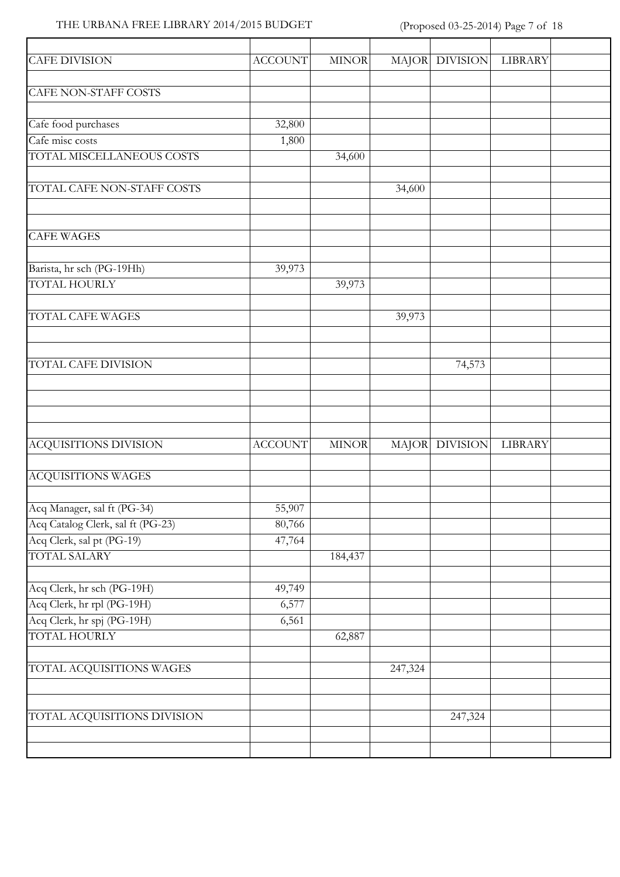### THE URBANA FREE LIBRARY 2014/2015 BUDGET (Proposed 03-25-2014) Page 7 of 18

| <b>CAFE DIVISION</b>              | <b>ACCOUNT</b> | <b>MINOR</b> |         | MAJOR DIVISION | <b>LIBRARY</b> |  |
|-----------------------------------|----------------|--------------|---------|----------------|----------------|--|
| <b>CAFE NON-STAFF COSTS</b>       |                |              |         |                |                |  |
|                                   |                |              |         |                |                |  |
| Cafe food purchases               | 32,800         |              |         |                |                |  |
| Cafe misc costs                   | 1,800          |              |         |                |                |  |
| TOTAL MISCELLANEOUS COSTS         |                | 34,600       |         |                |                |  |
| TOTAL CAFE NON-STAFF COSTS        |                |              | 34,600  |                |                |  |
|                                   |                |              |         |                |                |  |
| <b>CAFE WAGES</b>                 |                |              |         |                |                |  |
| Barista, hr sch (PG-19Hh)         | 39,973         |              |         |                |                |  |
| <b>TOTAL HOURLY</b>               |                | 39,973       |         |                |                |  |
| TOTAL CAFE WAGES                  |                |              | 39,973  |                |                |  |
|                                   |                |              |         |                |                |  |
| <b>TOTAL CAFE DIVISION</b>        |                |              |         | 74,573         |                |  |
|                                   |                |              |         |                |                |  |
|                                   |                |              |         |                |                |  |
|                                   |                |              |         |                |                |  |
| <b>ACQUISITIONS DIVISION</b>      | <b>ACCOUNT</b> | <b>MINOR</b> |         | MAJOR DIVISION | LIBRARY        |  |
| <b>ACQUISITIONS WAGES</b>         |                |              |         |                |                |  |
| Acq Manager, sal ft (PG-34)       | 55,907         |              |         |                |                |  |
| Acq Catalog Clerk, sal ft (PG-23) | 80,766         |              |         |                |                |  |
| Acq Clerk, sal pt (PG-19)         | 47,764         |              |         |                |                |  |
| <b>TOTAL SALARY</b>               |                | 184,437      |         |                |                |  |
| Acq Clerk, hr sch (PG-19H)        | 49,749         |              |         |                |                |  |
| Acq Clerk, hr rpl (PG-19H)        | 6,577          |              |         |                |                |  |
| Acq Clerk, hr spj (PG-19H)        | 6,561          |              |         |                |                |  |
| <b>TOTAL HOURLY</b>               |                | 62,887       |         |                |                |  |
|                                   |                |              |         |                |                |  |
| TOTAL ACQUISITIONS WAGES          |                |              | 247,324 |                |                |  |
|                                   |                |              |         |                |                |  |
| TOTAL ACQUISITIONS DIVISION       |                |              |         | 247,324        |                |  |
|                                   |                |              |         |                |                |  |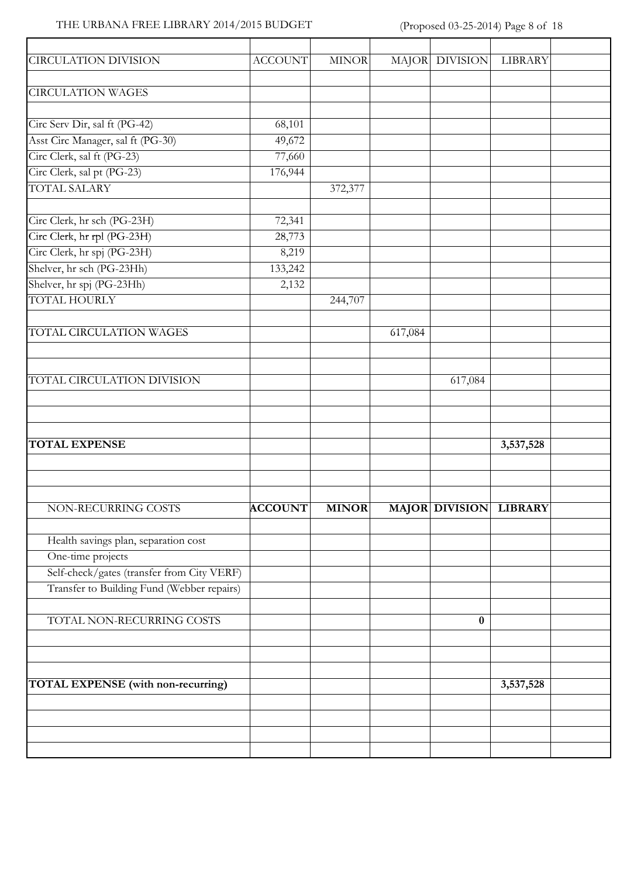### THE URBANA FREE LIBRARY 2014/2015 BUDGET (Proposed 03-25-2014) Page 8 of 18

 $\overline{\phantom{a}}$ 

| <b>CIRCULATION DIVISION</b>                | <b>ACCOUNT</b> | <b>MINOR</b> |         | MAJOR DIVISION         | LIBRARY   |  |
|--------------------------------------------|----------------|--------------|---------|------------------------|-----------|--|
|                                            |                |              |         |                        |           |  |
| <b>CIRCULATION WAGES</b>                   |                |              |         |                        |           |  |
| Circ Serv Dir, sal ft (PG-42)              | 68,101         |              |         |                        |           |  |
| Asst Circ Manager, sal ft (PG-30)          | 49,672         |              |         |                        |           |  |
| Circ Clerk, sal ft (PG-23)                 | 77,660         |              |         |                        |           |  |
| Circ Clerk, sal pt (PG-23)                 | 176,944        |              |         |                        |           |  |
| <b>TOTAL SALARY</b>                        |                | 372,377      |         |                        |           |  |
|                                            |                |              |         |                        |           |  |
| Circ Clerk, hr sch (PG-23H)                | 72,341         |              |         |                        |           |  |
| Circ Clerk, hr rpl (PG-23H)                | 28,773         |              |         |                        |           |  |
| Circ Clerk, hr spj (PG-23H)                | 8,219          |              |         |                        |           |  |
| Shelver, hr sch (PG-23Hh)                  | 133,242        |              |         |                        |           |  |
| Shelver, hr spj (PG-23Hh)                  | 2,132          |              |         |                        |           |  |
| <b>TOTAL HOURLY</b>                        |                | 244,707      |         |                        |           |  |
|                                            |                |              |         |                        |           |  |
| TOTAL CIRCULATION WAGES                    |                |              | 617,084 |                        |           |  |
|                                            |                |              |         |                        |           |  |
|                                            |                |              |         |                        |           |  |
| TOTAL CIRCULATION DIVISION                 |                |              |         | 617,084                |           |  |
|                                            |                |              |         |                        |           |  |
|                                            |                |              |         |                        |           |  |
|                                            |                |              |         |                        |           |  |
| <b>TOTAL EXPENSE</b>                       |                |              |         |                        | 3,537,528 |  |
|                                            |                |              |         |                        |           |  |
|                                            |                |              |         |                        |           |  |
|                                            |                |              |         |                        |           |  |
| NON-RECURRING COSTS                        | <b>ACCOUNT</b> | <b>MINOR</b> |         | MAJOR DIVISION LIBRARY |           |  |
|                                            |                |              |         |                        |           |  |
| Health savings plan, separation cost       |                |              |         |                        |           |  |
| One-time projects                          |                |              |         |                        |           |  |
| Self-check/gates (transfer from City VERF) |                |              |         |                        |           |  |
| Transfer to Building Fund (Webber repairs) |                |              |         |                        |           |  |
|                                            |                |              |         |                        |           |  |
| TOTAL NON-RECURRING COSTS                  |                |              |         | $\bf{0}$               |           |  |
|                                            |                |              |         |                        |           |  |
|                                            |                |              |         |                        |           |  |
|                                            |                |              |         |                        |           |  |
| <b>TOTAL EXPENSE</b> (with non-recurring)  |                |              |         |                        | 3,537,528 |  |
|                                            |                |              |         |                        |           |  |
|                                            |                |              |         |                        |           |  |
|                                            |                |              |         |                        |           |  |
|                                            |                |              |         |                        |           |  |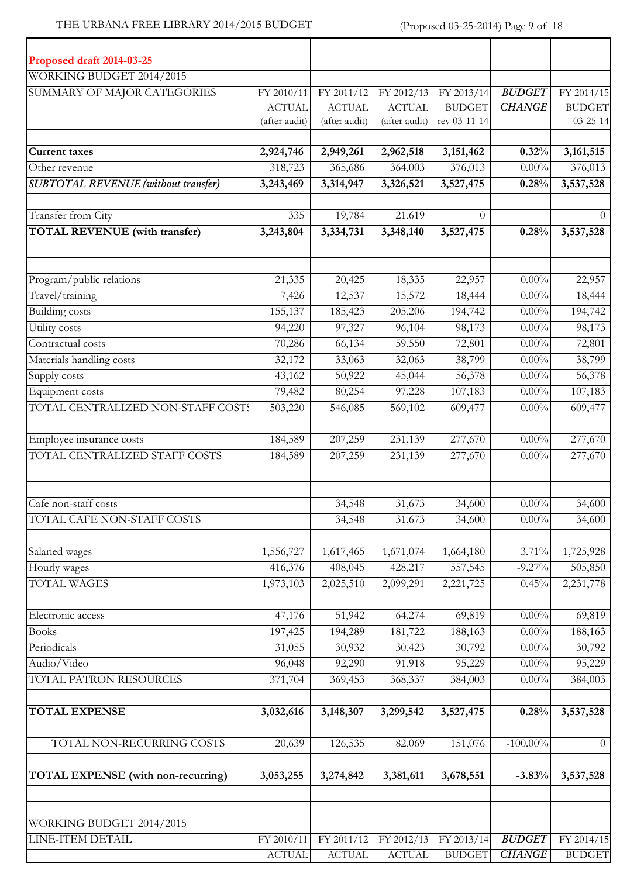# THE URBANA FREE LIBRARY 2014/2015 BUDGET (Proposed 03-25-2014) Page 9 of 18

| Proposed draft 2014-03-25                  |                             |                             |                             |                             |                                |                             |
|--------------------------------------------|-----------------------------|-----------------------------|-----------------------------|-----------------------------|--------------------------------|-----------------------------|
| WORKING BUDGET 2014/2015                   |                             |                             |                             |                             |                                |                             |
| SUMMARY OF MAJOR CATEGORIES                | FY 2010/11                  | FY 2011/12                  | FY 2012/13                  | FY 2013/14                  | <b>BUDGET</b>                  | FY 2014/15                  |
|                                            | <b>ACTUAL</b>               | <b>ACTUAL</b>               | <b>ACTUAL</b>               | <b>BUDGET</b>               | <b>CHANGE</b>                  | <b>BUDGET</b>               |
|                                            | (after audit)               | (after audit)               | (after audit)               | rev 03-11-14                |                                | $03 - 25 - 14$              |
|                                            |                             |                             |                             |                             |                                |                             |
| <b>Current taxes</b>                       | 2,924,746                   | 2,949,261                   | 2,962,518                   | 3, 151, 462                 | 0.32%                          | 3, 161, 515                 |
| Other revenue                              | 318,723                     | 365,686                     | 364,003                     | 376,013                     | $0.00\%$                       | 376,013                     |
| <b>SUBTOTAL REVENUE</b> (without transfer) | 3,243,469                   | 3,314,947                   | 3,326,521                   | 3,527,475                   | 0.28%                          | 3,537,528                   |
| Transfer from City                         | 335                         | 19,784                      | 21,619                      | $\Omega$                    |                                | $\Omega$                    |
| <b>TOTAL REVENUE</b> (with transfer)       | 3,243,804                   | 3,334,731                   | 3,348,140                   | 3,527,475                   | 0.28%                          | 3,537,528                   |
|                                            |                             |                             |                             |                             |                                |                             |
|                                            |                             |                             |                             |                             |                                |                             |
| Program/public relations                   | 21,335                      | 20,425                      | 18,335                      | 22,957                      | $0.00\%$                       | 22,957                      |
| Travel/training                            | 7,426                       | 12,537                      | 15,572                      | 18,444                      | $0.00\%$                       | 18,444                      |
| <b>Building costs</b>                      | 155,137                     | 185,423                     | 205,206                     | 194,742                     | $0.00\%$                       | 194,742                     |
| Utility costs                              | 94,220                      | 97,327                      | 96,104                      | 98,173                      | $0.00\%$                       | 98,173                      |
| Contractual costs                          | 70,286                      | 66,134                      | 59,550                      | 72,801                      | $0.00\%$                       | 72,801                      |
| Materials handling costs                   | 32,172                      | 33,063                      | 32,063                      | 38,799                      | $0.00\%$                       | 38,799                      |
| Supply costs                               | 43,162                      | 50,922                      | 45,044                      | 56,378                      | $0.00\%$                       | 56,378                      |
| Equipment costs                            | 79,482                      | 80,254                      | 97,228                      | 107,183                     | $0.00\%$                       | 107,183                     |
| TOTAL CENTRALIZED NON-STAFF COSTS          | 503,220                     | 546,085                     | 569,102                     | 609,477                     | $0.00\%$                       | 609,477                     |
|                                            |                             |                             |                             |                             |                                |                             |
| Employee insurance costs                   | 184,589                     | 207,259                     | 231,139                     | 277,670                     | $0.00\%$                       | 277,670                     |
| TOTAL CENTRALIZED STAFF COSTS              | 184,589                     | 207,259                     | 231,139                     | 277,670                     | $0.00\%$                       | 277,670                     |
| Cafe non-staff costs                       |                             | 34,548                      | 31,673                      | 34,600                      | $0.00\%$                       | 34,600                      |
| TOTAL CAFE NON-STAFF COSTS                 |                             | 34,548                      | 31,673                      | 34,600                      | $0.00\%$                       | 34,600                      |
|                                            |                             |                             |                             |                             |                                |                             |
| Salaried wages                             | 1,556,727                   | 1,617,465                   | 1,671,074                   | 1,664,180                   | 3.71%                          | 1,725,928                   |
| Hourly wages                               | 416,376                     | 408,045                     | 428,217                     | 557,545                     | $-9.27\%$                      | 505,850                     |
| <b>TOTAL WAGES</b>                         | 1,973,103                   | 2,025,510                   | 2,099,291                   | 2,221,725                   | 0.45%                          | 2,231,778                   |
|                                            |                             |                             |                             |                             |                                |                             |
| Electronic access                          | 47,176                      | 51,942                      | 64,274                      | 69,819                      | $0.00\%$                       | 69,819                      |
| <b>Books</b>                               | 197,425                     | 194,289                     | 181,722                     | 188,163                     | $0.00\%$                       | 188,163                     |
| Periodicals                                | 31,055                      | 30,932                      | 30,423                      | 30,792                      | $0.00\%$                       | 30,792                      |
| Audio/Video                                | 96,048                      | 92,290                      | 91,918                      | 95,229                      | $0.00\%$                       | 95,229                      |
| TOTAL PATRON RESOURCES                     | 371,704                     | 369,453                     | 368,337                     | 384,003                     | $0.00\%$                       | 384,003                     |
| <b>TOTAL EXPENSE</b>                       | 3,032,616                   | 3,148,307                   | 3,299,542                   | 3,527,475                   | 0.28%                          | 3,537,528                   |
|                                            |                             |                             |                             |                             |                                |                             |
| TOTAL NON-RECURRING COSTS                  | 20,639                      | 126,535                     | 82,069                      | 151,076                     | $-100.00\%$                    | $\theta$                    |
| TOTAL EXPENSE (with non-recurring)         | 3,053,255                   | 3,274,842                   | 3,381,611                   | 3,678,551                   | $-3.83%$                       | 3,537,528                   |
|                                            |                             |                             |                             |                             |                                |                             |
| WORKING BUDGET 2014/2015                   |                             |                             |                             |                             |                                |                             |
| LINE-ITEM DETAIL                           | FY 2010/11<br><b>ACTUAL</b> | FY 2011/12<br><b>ACTUAL</b> | FY 2012/13<br><b>ACTUAL</b> | FY 2013/14<br><b>BUDGET</b> | <b>BUDGET</b><br><b>CHANGE</b> | FY 2014/15<br><b>BUDGET</b> |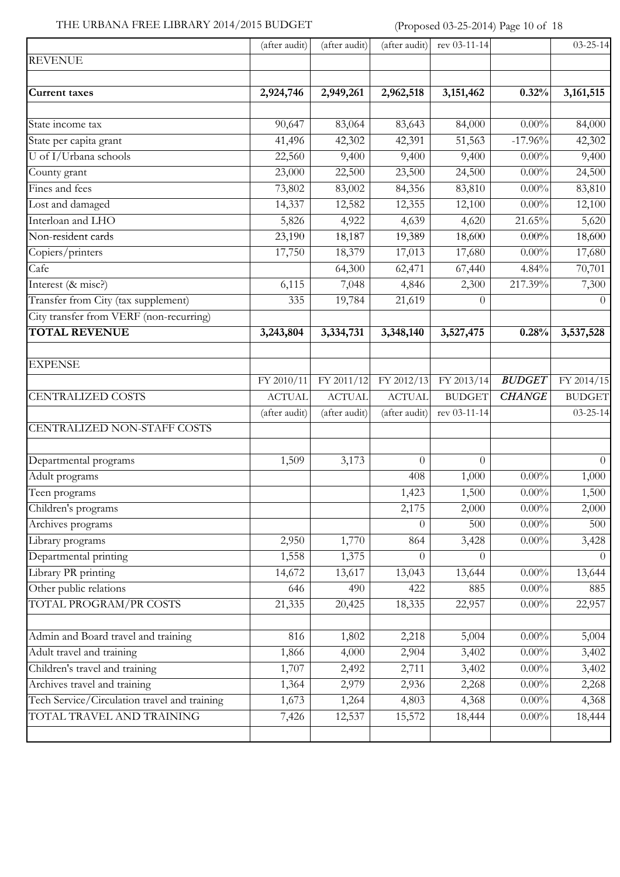### THE URBANA FREE LIBRARY 2014/2015 BUDGET (Proposed 03-25-2014) Page 10 of 18

|                                              | (after audit) | (after audit) | (after audit) | rev $03-11-14$   |               | $03 - 25 - 14$   |
|----------------------------------------------|---------------|---------------|---------------|------------------|---------------|------------------|
| <b>REVENUE</b>                               |               |               |               |                  |               |                  |
| <b>Current taxes</b>                         | 2,924,746     | 2,949,261     | 2,962,518     | 3,151,462        | 0.32%         | 3, 161, 515      |
| State income tax                             | 90,647        | 83,064        | 83,643        | 84,000           | $0.00\%$      | 84,000           |
| State per capita grant                       | 41,496        | 42,302        | 42,391        | 51,563           | $-17.96%$     | 42,302           |
| U of I/Urbana schools                        | 22,560        | 9,400         | 9,400         | 9,400            | $0.00\%$      | 9,400            |
| County grant                                 | 23,000        | 22,500        | 23,500        | 24,500           | $0.00\%$      | 24,500           |
| Fines and fees                               | 73,802        | 83,002        | 84,356        | 83,810           | $0.00\%$      | 83,810           |
| Lost and damaged                             | 14,337        | 12,582        | 12,355        | 12,100           | $0.00\%$      | 12,100           |
| Interloan and LHO                            | 5,826         | 4,922         | 4,639         | 4,620            | 21.65%        | 5,620            |
| Non-resident cards                           | 23,190        | 18,187        | 19,389        | 18,600           | $0.00\%$      | 18,600           |
| Copiers/printers                             | 17,750        | 18,379        | 17,013        | 17,680           | $0.00\%$      | 17,680           |
| Cafe                                         |               | 64,300        | 62,471        | 67,440           | 4.84%         | 70,701           |
| Interest (& misc?)                           | 6,115         | 7,048         | 4,846         | 2,300            | 217.39%       | 7,300            |
| Transfer from City (tax supplement)          | 335           | 19,784        | 21,619        | $\theta$         |               | $\overline{0}$   |
| City transfer from VERF (non-recurring)      |               |               |               |                  |               |                  |
| <b>TOTAL REVENUE</b>                         | 3,243,804     | 3,334,731     | 3,348,140     | 3,527,475        | 0.28%         | 3,537,528        |
| <b>EXPENSE</b>                               |               |               |               |                  |               |                  |
|                                              | FY 2010/11    | FY 2011/12    | FY 2012/13    | FY 2013/14       | <b>BUDGET</b> | FY 2014/15       |
| <b>CENTRALIZED COSTS</b>                     | <b>ACTUAL</b> | <b>ACTUAL</b> | <b>ACTUAL</b> | <b>BUDGET</b>    | <b>CHANGE</b> | <b>BUDGET</b>    |
|                                              | (after audit) | (after audit) | (after audit) | rev 03-11-14     |               | $03 - 25 - 14$   |
| CENTRALIZED NON-STAFF COSTS                  |               |               |               |                  |               |                  |
| Departmental programs                        | 1,509         | 3,173         | $\Omega$      | $\Omega$         |               | $\Omega$         |
| Adult programs                               |               |               | 408           | 1,000            | $0.00\%$      | 1,000            |
| Teen programs                                |               |               | 1,423         | 1,500            | $0.00\%$      | 1,500            |
| Children's programs                          |               |               | 2,175         | 2,000            | $0.00\%$      | 2,000            |
| Archives programs                            |               |               | $\Omega$      | 500              | $0.00\%$      | 500              |
| Library programs                             | 2,950         | 1,770         | 864           | 3,428            | $0.00\%$      | 3,428            |
| Departmental printing                        | 1,558         | 1,375         | $\Omega$      | $\left( \right)$ |               | $\left( \right)$ |
| Library PR printing                          | 14,672        | 13,617        | 13,043        | 13,644           | $0.00\%$      | 13,644           |
| Other public relations                       | 646           | 490           | 422           | 885              | $0.00\%$      | 885              |
| TOTAL PROGRAM/PR COSTS                       | 21,335        | 20,425        | 18,335        | 22,957           | $0.00\%$      | 22,957           |
| Admin and Board travel and training          | 816           | 1,802         | 2,218         | 5,004            | $0.00\%$      | 5,004            |
| Adult travel and training                    | 1,866         | 4,000         | 2,904         | 3,402            | $0.00\%$      | 3,402            |
| Children's travel and training               | 1,707         | 2,492         | 2,711         | 3,402            | $0.00\%$      | 3,402            |
| Archives travel and training                 | 1,364         | 2,979         | 2,936         | 2,268            | $0.00\%$      | 2,268            |
| Tech Service/Circulation travel and training | 1,673         | 1,264         | 4,803         | 4,368            | $0.00\%$      | 4,368            |
| TOTAL TRAVEL AND TRAINING                    | 7,426         | 12,537        | 15,572        | 18,444           | $0.00\%$      | 18,444           |
|                                              |               |               |               |                  |               |                  |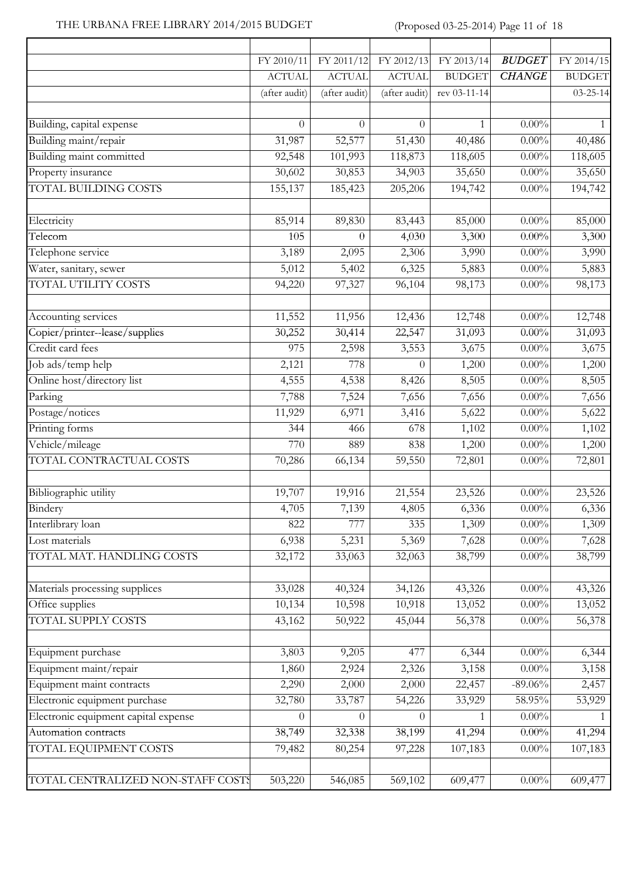### THE URBANA FREE LIBRARY 2014/2015 BUDGET (Proposed 03-25-2014) Page 11 of 18

 $\overline{1}$ 

|                                      | FY 2010/11    | FY 2011/12    | FY 2012/13    | FY 2013/14    | <b>BUDGET</b> | FY 2014/15     |
|--------------------------------------|---------------|---------------|---------------|---------------|---------------|----------------|
|                                      | <b>ACTUAL</b> | <b>ACTUAL</b> | <b>ACTUAL</b> | <b>BUDGET</b> | <b>CHANGE</b> | <b>BUDGET</b>  |
|                                      | (after audit) | (after audit) | (after audit) | rev 03-11-14  |               | $03 - 25 - 14$ |
| Building, capital expense            | $\theta$      | $\theta$      | $\Omega$      | 1             | $0.00\%$      | $\mathbf{1}$   |
| Building maint/repair                | 31,987        | 52,577        | 51,430        | 40,486        | $0.00\%$      | 40,486         |
| Building maint committed             | 92,548        | 101,993       | 118,873       | 118,605       | $0.00\%$      | 118,605        |
| Property insurance                   | 30,602        | 30,853        | 34,903        | 35,650        | $0.00\%$      | 35,650         |
| <b>TOTAL BUILDING COSTS</b>          | 155, 137      | 185,423       | 205,206       | 194,742       | $0.00\%$      | 194,742        |
| Electricity                          | 85,914        | 89,830        | 83,443        | 85,000        | $0.00\%$      | 85,000         |
| Telecom                              | 105           | $\theta$      | 4,030         | 3,300         | $0.00\%$      | 3,300          |
| Telephone service                    | 3,189         | 2,095         | 2,306         | 3,990         | $0.00\%$      | 3,990          |
| Water, sanitary, sewer               | 5,012         | 5,402         | 6,325         | 5,883         | $0.00\%$      | 5,883          |
| TOTAL UTILITY COSTS                  | 94,220        | 97,327        | 96,104        | 98,173        | $0.00\%$      | 98,173         |
| Accounting services                  | 11,552        | 11,956        | 12,436        | 12,748        | $0.00\%$      | 12,748         |
| Copier/printer--lease/supplies       | 30,252        | 30,414        | 22,547        | 31,093        | $0.00\%$      | 31,093         |
| Credit card fees                     | 975           | 2,598         | 3,553         | 3,675         | $0.00\%$      | 3,675          |
| Job ads/temp help                    | 2,121         | 778           | $\Omega$      | 1,200         | $0.00\%$      | 1,200          |
| Online host/directory list           | 4,555         | 4,538         | 8,426         | 8,505         | $0.00\%$      | 8,505          |
| Parking                              | 7,788         | 7,524         | 7,656         | 7,656         | $0.00\%$      | 7,656          |
| Postage/notices                      | 11,929        | 6,971         | 3,416         | 5,622         | $0.00\%$      | 5,622          |
| Printing forms                       | 344           | 466           | 678           | 1,102         | $0.00\%$      | 1,102          |
| Vehicle/mileage                      | 770           | 889           | 838           | 1,200         | $0.00\%$      | 1,200          |
| TOTAL CONTRACTUAL COSTS              | 70,286        | 66,134        | 59,550        | 72,801        | $0.00\%$      | 72,801         |
| Bibliographic utility                | 19,707        | 19,916        | 21,554        | 23,526        | $0.00\%$      | 23,526         |
| Bindery                              | 4,705         | 7,139         | 4,805         | 6,336         | $0.00\%$      | 6,336          |
| Interlibrary loan                    | 822           | 777           | 335           | 1,309         | $0.00\%$      | 1,309          |
| Lost materials                       | 6,938         | 5,231         | 5,369         | 7,628         | $0.00\%$      | 7,628          |
| TOTAL MAT. HANDLING COSTS            | 32,172        | 33,063        | 32,063        | 38,799        | $0.00\%$      | 38,799         |
| Materials processing supplices       | 33,028        | 40,324        | 34,126        | 43,326        | $0.00\%$      | 43,326         |
| Office supplies                      | 10,134        | 10,598        | 10,918        | 13,052        | $0.00\%$      | 13,052         |
| TOTAL SUPPLY COSTS                   | 43,162        | 50,922        | 45,044        | 56,378        | $0.00\%$      | 56,378         |
| Equipment purchase                   | 3,803         | 9,205         | 477           | 6,344         | $0.00\%$      | 6,344          |
| Equipment maint/repair               | 1,860         | 2,924         | 2,326         | 3,158         | $0.00\%$      | 3,158          |
| Equipment maint contracts            | 2,290         | 2,000         | 2,000         | 22,457        | $-89.06\%$    | 2,457          |
| Electronic equipment purchase        | 32,780        | 33,787        | 54,226        | 33,929        | 58.95%        | 53,929         |
| Electronic equipment capital expense | $\theta$      | $\theta$      | $\theta$      | 1             | $0.00\%$      |                |
| Automation contracts                 | 38,749        | 32,338        | 38,199        | 41,294        | $0.00\%$      | 41,294         |
| TOTAL EQUIPMENT COSTS                | 79,482        | 80,254        | 97,228        | 107,183       | $0.00\%$      | 107,183        |
| TOTAL CENTRALIZED NON-STAFF COSTS    | 503,220       | 546,085       | 569,102       | 609,477       | $0.00\%$      | 609,477        |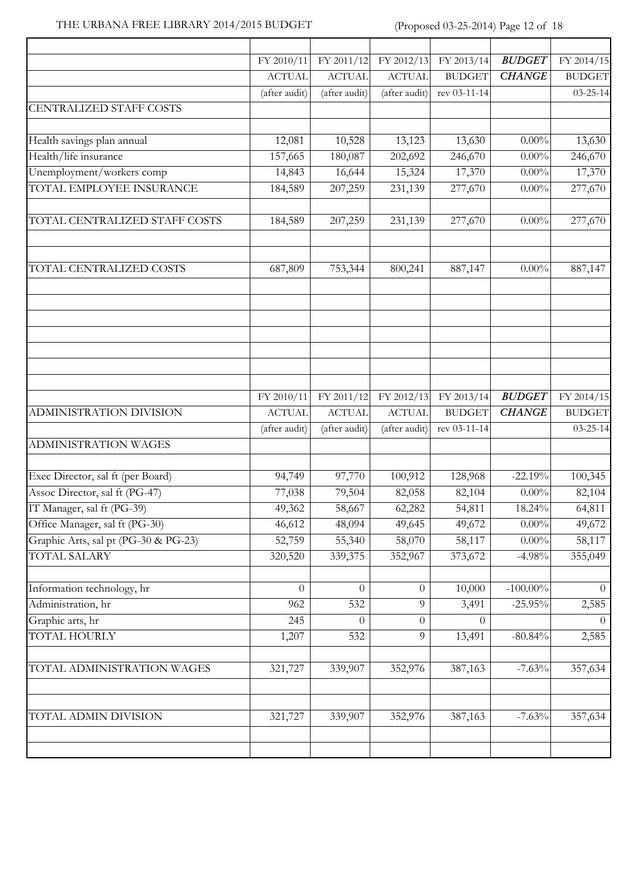### THE URBANA FREE LIBRARY 2014/2015 BUDGET (Proposed 03-25-2014) Page 12 of 18

|                                      | FY 2010/11    | FY 2011/12    | FY 2012/13     | FY 2013/14    | <b>BUDGET</b> | FY 2014/15     |
|--------------------------------------|---------------|---------------|----------------|---------------|---------------|----------------|
|                                      | <b>ACTUAL</b> | <b>ACTUAL</b> | <b>ACTUAL</b>  | <b>BUDGET</b> | <b>CHANGE</b> | <b>BUDGET</b>  |
|                                      | (after audit) | (after audit) | (after audit)  | rev 03-11-14  |               | $03 - 25 - 14$ |
| <b>CENTRALIZED STAFF COSTS</b>       |               |               |                |               |               |                |
| Health savings plan annual           | 12,081        | 10,528        | 13,123         | 13,630        | $0.00\%$      | 13,630         |
| Health/life insurance                | 157,665       | 180,087       | 202,692        | 246,670       | $0.00\%$      | 246,670        |
| Unemployment/workers comp            | 14,843        | 16,644        | 15,324         | 17,370        | $0.00\%$      | 17,370         |
| TOTAL EMPLOYEE INSURANCE             | 184,589       | 207,259       | 231,139        | 277,670       | $0.00\%$      | 277,670        |
| TOTAL CENTRALIZED STAFF COSTS        | 184,589       | 207,259       | 231,139        | 277,670       | $0.00\%$      | 277,670        |
|                                      |               |               |                |               |               |                |
| TOTAL CENTRALIZED COSTS              | 687,809       | 753,344       | 800,241        | 887,147       | $0.00\%$      | 887,147        |
|                                      |               |               |                |               |               |                |
|                                      |               |               |                |               |               |                |
|                                      | FY 2010/11    | FY 2011/12    | FY 2012/13     | FY 2013/14    | <b>BUDGET</b> | FY 2014/15     |
| ADMINISTRATION DIVISION              | <b>ACTUAL</b> | <b>ACTUAL</b> | <b>ACTUAL</b>  | <b>BUDGET</b> | <b>CHANGE</b> | <b>BUDGET</b>  |
|                                      | (after audit) | (after audit) | (after audit)  | rev 03-11-14  |               | $03 - 25 - 14$ |
| <b>ADMINISTRATION WAGES</b>          |               |               |                |               |               |                |
| Exec Director, sal ft (per Board)    | 94,749        | 97,770        | 100,912        | 128,968       | $-22.19%$     | 100,345        |
| Assoc Director, sal ft (PG-47)       | 77,038        | 79,504        | 82,058         | 82,104        | $0.00\%$      | 82,104         |
| IT Manager, sal ft (PG-39)           | 49,362        | 58,667        | 62,282         | 54,811        | 18.24%        | 64,811         |
| Office Manager, sal ft (PG-30)       | 46,612        | 48,094        | 49,645         | 49,672        | $0.00\%$      | 49,672         |
| Graphic Arts, sal pt (PG-30 & PG-23) | 52,759        | 55,340        | 58,070         | 58,117        | $0.00\%$      | 58,117         |
| <b>TOTAL SALARY</b>                  | 320,520       | 339,375       | 352,967        | 373,672       | $-4.98%$      | 355,049        |
| Information technology, hr           | $\theta$      | $\theta$      | $\theta$       | 10,000        | $-100.00\%$   | $\Omega$       |
| Administration, hr                   | 962           | 532           | $\overline{9}$ | 3,491         | $-25.95%$     | 2,585          |
| Graphic arts, hr                     | 245           | $\Omega$      | $\theta$       | $\Omega$      |               | $\Omega$       |
| <b>TOTAL HOURLY</b>                  | 1,207         | 532           | 9              | 13,491        | $-80.84%$     | 2,585          |
| TOTAL ADMINISTRATION WAGES           | 321,727       | 339,907       | 352,976        | 387,163       | $-7.63%$      | 357,634        |
|                                      |               |               |                |               |               |                |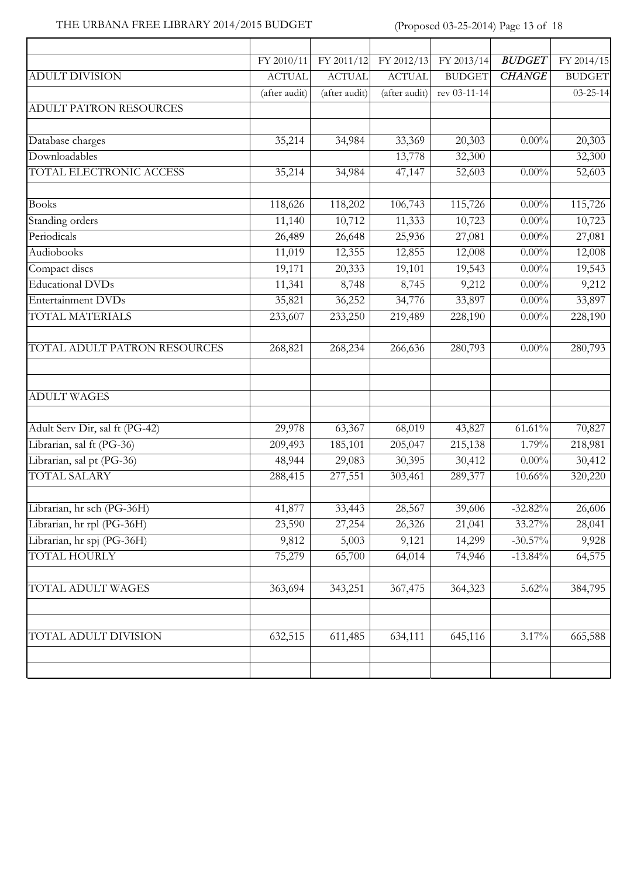#### THE URBANA FREE LIBRARY 2014/2015 BUDGET (Proposed 03-25-2014) Page 13 of 18

 $\overline{1}$ 

| FY 2012/13    | <b>BUDGET</b><br>FY 2013/14    | FY 2014/15     |
|---------------|--------------------------------|----------------|
| <b>ACTUAL</b> | <b>BUDGET</b><br><b>CHANGE</b> | <b>BUDGET</b>  |
| (after audit) | rev 03-11-14                   | $03 - 25 - 14$ |
|               |                                |                |
| 33,369        | 20,303<br>$0.00\%$             | 20,303         |
| 13,778        | 32,300                         | 32,300         |
| 47,147        | 52,603<br>$0.00\%$             | 52,603         |
| 106,743       | 115,726<br>$0.00\%$            | 115,726        |
| 11,333        | 10,723<br>$0.00\%$             | 10,723         |
| 25,936        | 27,081<br>$0.00\%$             | 27,081         |
| 12,855        | $0.00\%$<br>12,008             | 12,008         |
| 19,101        | 19,543<br>$0.00\%$             | 19,543         |
| 8,745         | $0.00\%$<br>9,212              | 9,212          |
| 34,776        | 33,897<br>$0.00\%$             | 33,897         |
| 219,489       | 228,190<br>$0.00\%$            | 228,190        |
| 266,636       | $0.00\%$<br>280,793            | 280,793        |
|               |                                |                |
| 68,019        | 43,827<br>$61.61\%$            | 70,827         |
| 205,047       | 215,138<br>1.79%               | 218,981        |
| 30,395        | 30,412<br>$0.00\%$             | 30,412         |
| 303,461       | 289,377<br>10.66%              | 320,220        |
| 28,567        | 39,606<br>$-32.82%$            | 26,606         |
| 26,326        | 33.27%<br>21,041               | 28,041         |
| 9,121         | $-30.57\%$<br>14,299           | 9,928          |
| 64,014        | $-13.84%$<br>74,946            | 64,575         |
| 367,475       | 364,323<br>5.62%               | 384,795        |
| 634,111       | 645,116                        | 665,588        |
|               |                                | 3.17%          |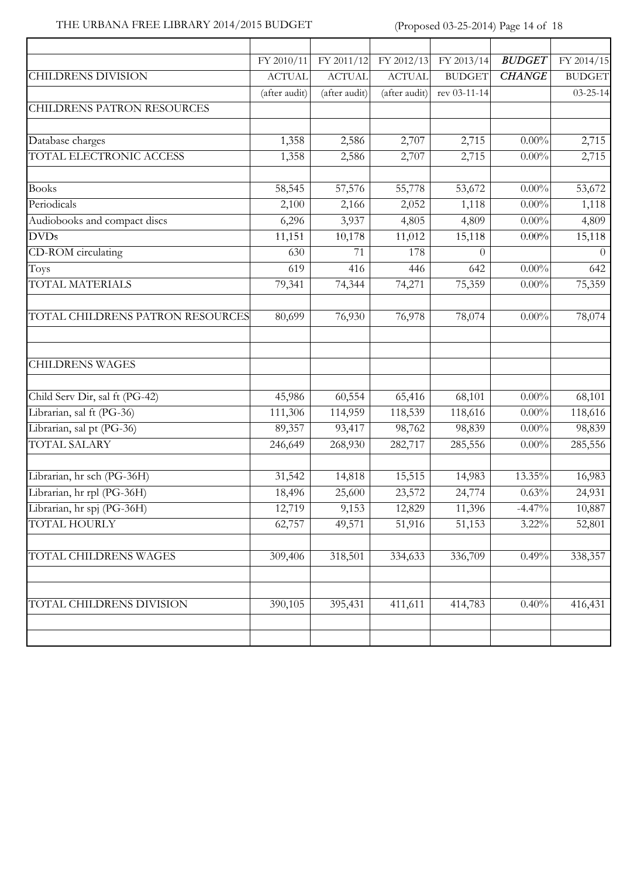### THE URBANA FREE LIBRARY 2014/2015 BUDGET (Proposed 03-25-2014) Page 14 of 18

|                                  | FY 2010/11    | FY 2011/12    | FY 2012/13    | FY 2013/14    | <b>BUDGET</b> | FY 2014/15     |
|----------------------------------|---------------|---------------|---------------|---------------|---------------|----------------|
| <b>CHILDRENS DIVISION</b>        | <b>ACTUAL</b> | <b>ACTUAL</b> | <b>ACTUAL</b> | <b>BUDGET</b> | <b>CHANGE</b> | <b>BUDGET</b>  |
|                                  | (after audit) | (after audit) | (after audit) | rev 03-11-14  |               | $03 - 25 - 14$ |
| CHILDRENS PATRON RESOURCES       |               |               |               |               |               |                |
| Database charges                 | 1,358         | 2,586         | 2,707         | 2,715         | $0.00\%$      | 2,715          |
| TOTAL ELECTRONIC ACCESS          | 1,358         | 2,586         | 2,707         | 2,715         | $0.00\%$      | 2,715          |
| <b>Books</b>                     | 58,545        | 57,576        | 55,778        | 53,672        | $0.00\%$      | 53,672         |
| Periodicals                      | 2,100         | 2,166         | 2,052         | 1,118         | $0.00\%$      | 1,118          |
| Audiobooks and compact discs     | 6,296         | 3,937         | 4,805         | 4,809         | $0.00\%$      | 4,809          |
| <b>DVDs</b>                      | 11,151        | 10,178        | 11,012        | 15,118        | $0.00\%$      | 15,118         |
| CD-ROM circulating               | 630           | 71            | 178           | $\Omega$      |               | $\theta$       |
| Toys                             | 619           | 416           | 446           | 642           | $0.00\%$      | 642            |
| TOTAL MATERIALS                  | 79,341        | 74,344        | 74,271        | 75,359        | $0.00\%$      | 75,359         |
| TOTAL CHILDRENS PATRON RESOURCES | 80,699        | 76,930        | 76,978        | 78,074        | $0.00\%$      | 78,074         |
| <b>CHILDRENS WAGES</b>           |               |               |               |               |               |                |
| Child Serv Dir, sal ft (PG-42)   | 45,986        | 60,554        | 65,416        | 68,101        | $0.00\%$      | 68,101         |
| Librarian, sal ft (PG-36)        | 111,306       | 114,959       | 118,539       | 118,616       | $0.00\%$      | 118,616        |
| Librarian, sal pt (PG-36)        | 89,357        | 93,417        | 98,762        | 98,839        | $0.00\%$      | 98,839         |
| <b>TOTAL SALARY</b>              | 246,649       | 268,930       | 282,717       | 285,556       | $0.00\%$      | 285,556        |
| Librarian, hr sch (PG-36H)       | 31,542        | 14,818        | 15,515        | 14,983        | 13.35%        | 16,983         |
| Librarian, hr rpl (PG-36H)       | 18,496        | 25,600        | 23,572        | 24,774        | 0.63%         | 24,931         |
| Librarian, hr spj (PG-36H)       | 12,719        | 9,153         | 12,829        | 11,396        | $-4.47%$      | 10,887         |
| TOTAL HOURLY                     | 62,757        | 49,571        | 51,916        | 51,153        | $3.22\%$      | 52,801         |
| TOTAL CHILDRENS WAGES            | 309,406       | 318,501       | 334,633       | 336,709       | 0.49%         | 338,357        |
| TOTAL CHILDRENS DIVISION         | 390,105       | 395,431       | 411,611       | 414,783       | 0.40%         | 416,431        |
|                                  |               |               |               |               |               |                |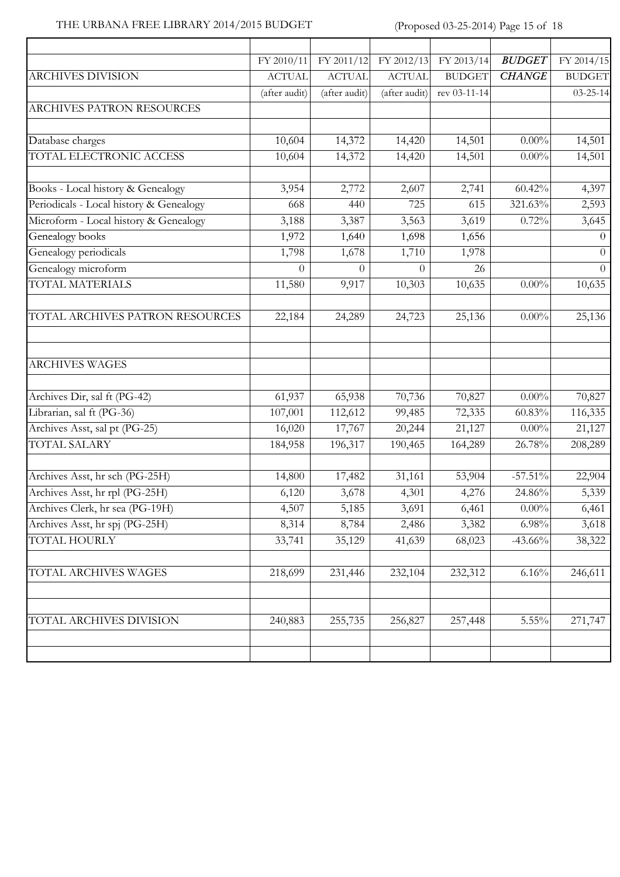### THE URBANA FREE LIBRARY 2014/2015 BUDGET (Proposed 03-25-2014) Page 15 of 18

Ì

|                                         | FY 2010/11       | FY 2011/12    | FY 2012/13    | FY 2013/14    | <b>BUDGET</b> | FY 2014/15     |
|-----------------------------------------|------------------|---------------|---------------|---------------|---------------|----------------|
| ARCHIVES DIVISION                       | <b>ACTUAL</b>    | <b>ACTUAL</b> | <b>ACTUAL</b> | <b>BUDGET</b> | <b>CHANGE</b> | <b>BUDGET</b>  |
|                                         | (after audit)    | (after audit) | (after audit) | rev 03-11-14  |               | $03 - 25 - 14$ |
| ARCHIVES PATRON RESOURCES               |                  |               |               |               |               |                |
| Database charges                        | 10,604           | 14,372        | 14,420        | 14,501        | $0.00\%$      | 14,501         |
| TOTAL ELECTRONIC ACCESS                 | 10,604           | 14,372        | 14,420        | 14,501        | $0.00\%$      | 14,501         |
| Books - Local history & Genealogy       | 3,954            | 2,772         | 2,607         | 2,741         | 60.42%        | 4,397          |
| Periodicals - Local history & Genealogy | 668              | 440           | 725           | 615           | 321.63%       | 2,593          |
| Microform - Local history & Genealogy   | 3,188            | 3,387         | 3,563         | 3,619         | 0.72%         | 3,645          |
| Genealogy books                         | 1,972            | 1,640         | 1,698         | 1,656         |               | $\theta$       |
| Genealogy periodicals                   | 1,798            | 1,678         | 1,710         | 1,978         |               | $\theta$       |
| Genealogy microform                     | $\boldsymbol{0}$ | $\theta$      | $\Omega$      | 26            |               | $\theta$       |
| <b>TOTAL MATERIALS</b>                  | 11,580           | 9,917         | 10,303        | 10,635        | $0.00\%$      | 10,635         |
| TOTAL ARCHIVES PATRON RESOURCES         | 22,184           | 24,289        | 24,723        | 25,136        | $0.00\%$      | 25,136         |
| <b>ARCHIVES WAGES</b>                   |                  |               |               |               |               |                |
| Archives Dir, sal ft (PG-42)            | 61,937           | 65,938        | 70,736        | 70,827        | $0.00\%$      | 70,827         |
| Librarian, sal ft (PG-36)               | 107,001          | 112,612       | 99,485        | 72,335        | 60.83%        | 116,335        |
| Archives Asst, sal pt (PG-25)           | 16,020           | 17,767        | 20,244        | 21,127        | $0.00\%$      | 21,127         |
| <b>TOTAL SALARY</b>                     | 184,958          | 196,317       | 190,465       | 164,289       | 26.78%        | 208,289        |
| Archives Asst, hr sch (PG-25H)          | 14,800           | 17,482        | 31,161        | 53,904        | $-57.51\%$    | 22,904         |
| Archives Asst, hr rpl (PG-25H)          | 6,120            | 3,678         | 4,301         | 4,276         | 24.86%        | 5,339          |
| Archives Clerk, hr sea (PG-19H)         | 4,507            | 5,185         | 3,691         | 6,461         | $0.00\%$      | 6,461          |
| Archives Asst, hr spj (PG-25H)          | 8,314            | 8,784         | 2,486         | 3,382         | 6.98%         | 3,618          |
| TOTAL HOURLY                            | 33,741           | 35,129        | 41,639        | 68,023        | $-43.66%$     | 38,322         |
| TOTAL ARCHIVES WAGES                    | 218,699          | 231,446       | 232,104       | 232,312       | 6.16%         | 246,611        |
| TOTAL ARCHIVES DIVISION                 | 240,883          | 255,735       | 256,827       | 257,448       | 5.55%         | 271,747        |
|                                         |                  |               |               |               |               |                |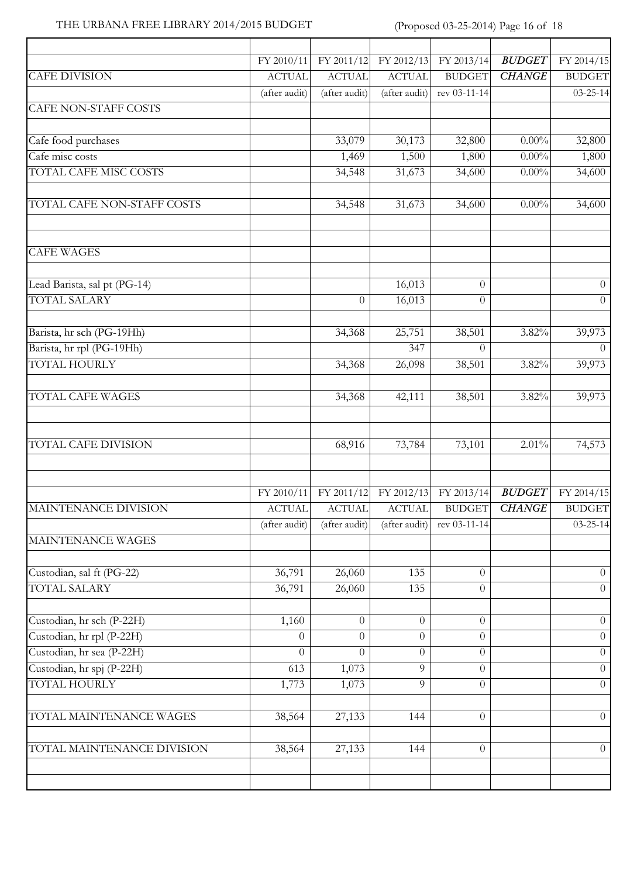### THE URBANA FREE LIBRARY 2014/2015 BUDGET (Proposed 03-25-2014) Page 16 of 18

| FY 2011/12<br>FY 2010/11<br><b>ACTUAL</b><br><b>ACTUAL</b><br>(after audit)<br>(after audit)<br>33,079<br>1,469<br>34,548<br>34,548<br>$\overline{0}$<br>34,368<br>34,368<br>34,368<br>68,916 | FY 2012/13<br><b>ACTUAL</b><br>(after audit)<br>30,173<br>1,500<br>31,673<br>31,673<br>16,013<br>16,013<br>25,751<br>347<br>26,098<br>42,111 | FY 2013/14<br><b>BUDGET</b><br>rev 03-11-14<br>32,800<br>1,800<br>34,600<br>34,600<br>$\overline{0}$<br>$\overline{0}$<br>38,501<br>$\Omega$<br>38,501<br>38,501 | <b>BUDGET</b><br><b>CHANGE</b><br>$0.00\%$<br>$0.00\%$<br>$0.00\%$<br>$0.00\%$<br>3.82%<br>$3.82\%$<br>$3.82\%$ | FY 2014/15<br><b>BUDGET</b><br>$03 - 25 - 14$<br>32,800<br>1,800<br>34,600<br>34,600<br>$\overline{0}$<br>$\theta$<br>39,973<br>$\overline{0}$<br>39,973<br>39,973 |
|-----------------------------------------------------------------------------------------------------------------------------------------------------------------------------------------------|----------------------------------------------------------------------------------------------------------------------------------------------|------------------------------------------------------------------------------------------------------------------------------------------------------------------|-----------------------------------------------------------------------------------------------------------------|--------------------------------------------------------------------------------------------------------------------------------------------------------------------|
|                                                                                                                                                                                               |                                                                                                                                              |                                                                                                                                                                  |                                                                                                                 |                                                                                                                                                                    |
|                                                                                                                                                                                               |                                                                                                                                              |                                                                                                                                                                  |                                                                                                                 |                                                                                                                                                                    |
|                                                                                                                                                                                               |                                                                                                                                              |                                                                                                                                                                  |                                                                                                                 |                                                                                                                                                                    |
|                                                                                                                                                                                               |                                                                                                                                              |                                                                                                                                                                  |                                                                                                                 |                                                                                                                                                                    |
|                                                                                                                                                                                               |                                                                                                                                              |                                                                                                                                                                  |                                                                                                                 |                                                                                                                                                                    |
|                                                                                                                                                                                               |                                                                                                                                              |                                                                                                                                                                  |                                                                                                                 |                                                                                                                                                                    |
|                                                                                                                                                                                               |                                                                                                                                              |                                                                                                                                                                  |                                                                                                                 |                                                                                                                                                                    |
|                                                                                                                                                                                               |                                                                                                                                              |                                                                                                                                                                  |                                                                                                                 |                                                                                                                                                                    |
|                                                                                                                                                                                               |                                                                                                                                              |                                                                                                                                                                  |                                                                                                                 |                                                                                                                                                                    |
|                                                                                                                                                                                               |                                                                                                                                              |                                                                                                                                                                  |                                                                                                                 |                                                                                                                                                                    |
|                                                                                                                                                                                               |                                                                                                                                              |                                                                                                                                                                  |                                                                                                                 |                                                                                                                                                                    |
|                                                                                                                                                                                               |                                                                                                                                              |                                                                                                                                                                  |                                                                                                                 |                                                                                                                                                                    |
|                                                                                                                                                                                               |                                                                                                                                              |                                                                                                                                                                  |                                                                                                                 |                                                                                                                                                                    |
|                                                                                                                                                                                               |                                                                                                                                              |                                                                                                                                                                  |                                                                                                                 |                                                                                                                                                                    |
|                                                                                                                                                                                               | 73,784                                                                                                                                       | 73,101                                                                                                                                                           | 2.01%                                                                                                           | 74,573                                                                                                                                                             |
|                                                                                                                                                                                               |                                                                                                                                              |                                                                                                                                                                  |                                                                                                                 |                                                                                                                                                                    |
| FY 2011/12<br>FY 2010/11                                                                                                                                                                      | FY 2012/13                                                                                                                                   | FY 2013/14                                                                                                                                                       | <b>BUDGET</b>                                                                                                   | FY 2014/15                                                                                                                                                         |
| <b>ACTUAL</b><br><b>ACTUAL</b>                                                                                                                                                                | <b>ACTUAL</b>                                                                                                                                | <b>BUDGET</b>                                                                                                                                                    | <b>CHANGE</b>                                                                                                   | <b>BUDGET</b>                                                                                                                                                      |
| (after audit)<br>(after audit)                                                                                                                                                                | (after audit)                                                                                                                                | rev 03-11-14                                                                                                                                                     |                                                                                                                 | $03 - 25 - 14$                                                                                                                                                     |
|                                                                                                                                                                                               |                                                                                                                                              |                                                                                                                                                                  |                                                                                                                 |                                                                                                                                                                    |
| 26,060                                                                                                                                                                                        | 135                                                                                                                                          | $\theta$                                                                                                                                                         |                                                                                                                 | $\theta$                                                                                                                                                           |
| 26,060                                                                                                                                                                                        | 135                                                                                                                                          | $\theta$                                                                                                                                                         |                                                                                                                 | $\overline{0}$                                                                                                                                                     |
| $\overline{0}$                                                                                                                                                                                | $\theta$                                                                                                                                     | $\overline{0}$                                                                                                                                                   |                                                                                                                 | $\overline{0}$                                                                                                                                                     |
| $\overline{0}$                                                                                                                                                                                | $\overline{0}$                                                                                                                               | $\boldsymbol{0}$                                                                                                                                                 |                                                                                                                 | $\overline{0}$                                                                                                                                                     |
| $\theta$                                                                                                                                                                                      | $\Omega$                                                                                                                                     | $\overline{0}$                                                                                                                                                   |                                                                                                                 | $\overline{0}$                                                                                                                                                     |
|                                                                                                                                                                                               | 9                                                                                                                                            | $\theta$                                                                                                                                                         |                                                                                                                 | $\Omega$                                                                                                                                                           |
|                                                                                                                                                                                               | 9                                                                                                                                            | $\overline{0}$                                                                                                                                                   |                                                                                                                 | $\overline{0}$                                                                                                                                                     |
| 27,133                                                                                                                                                                                        | 144                                                                                                                                          | $\overline{0}$                                                                                                                                                   |                                                                                                                 | $\overline{0}$                                                                                                                                                     |
| 27,133                                                                                                                                                                                        | 144                                                                                                                                          | $\theta$                                                                                                                                                         |                                                                                                                 | $\overline{0}$                                                                                                                                                     |
|                                                                                                                                                                                               | 36,791<br>36,791<br>1,160<br>$\Omega$<br>$\Omega$<br>613<br>1,073<br>1,773<br>1,073<br>38,564<br>38,564                                      |                                                                                                                                                                  |                                                                                                                 |                                                                                                                                                                    |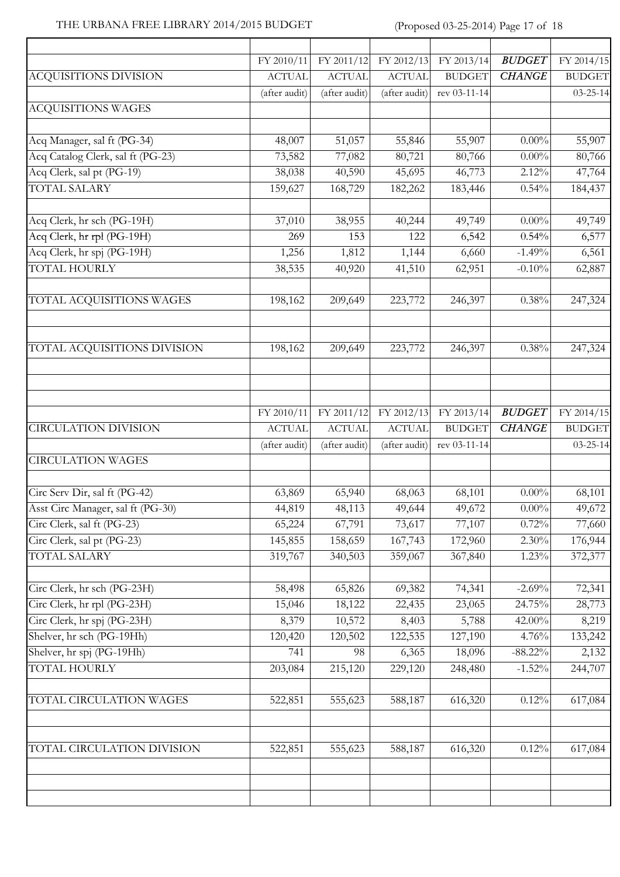### THE URBANA FREE LIBRARY 2014/2015 BUDGET (Proposed 03-25-2014) Page 17 of 18

|                                   | FY 2010/11    | FY 2011/12    | FY 2012/13    | FY 2013/14    | <b>BUDGET</b> | FY 2014/15     |
|-----------------------------------|---------------|---------------|---------------|---------------|---------------|----------------|
| ACQUISITIONS DIVISION             | <b>ACTUAL</b> | <b>ACTUAL</b> | <b>ACTUAL</b> | <b>BUDGET</b> | <b>CHANGE</b> | <b>BUDGET</b>  |
|                                   | (after audit) | (after audit) | (after audit) | rev 03-11-14  |               | $03 - 25 - 14$ |
| <b>ACQUISITIONS WAGES</b>         |               |               |               |               |               |                |
| Acq Manager, sal ft (PG-34)       | 48,007        | 51,057        | 55,846        | 55,907        | $0.00\%$      | 55,907         |
| Acq Catalog Clerk, sal ft (PG-23) | 73,582        | 77,082        | 80,721        | 80,766        | $0.00\%$      | 80,766         |
| Acq Clerk, sal pt (PG-19)         | 38,038        | 40,590        | 45,695        | 46,773        | 2.12%         | 47,764         |
| <b>TOTAL SALARY</b>               | 159,627       | 168,729       | 182,262       | 183,446       | 0.54%         | 184,437        |
| Acq Clerk, hr sch (PG-19H)        | 37,010        | 38,955        | 40,244        | 49,749        | $0.00\%$      | 49,749         |
| Acq Clerk, hr rpl (PG-19H)        | 269           | 153           | 122           | 6,542         | 0.54%         | 6,577          |
| Acq Clerk, hr spj (PG-19H)        | 1,256         | 1,812         | 1,144         | 6,660         | $-1.49%$      | 6,561          |
| <b>TOTAL HOURLY</b>               | 38,535        | 40,920        | 41,510        | 62,951        | $-0.10%$      | 62,887         |
| TOTAL ACQUISITIONS WAGES          | 198,162       | 209,649       | 223,772       | 246,397       | 0.38%         | 247,324        |
| TOTAL ACQUISITIONS DIVISION       | 198,162       | 209,649       | 223,772       | 246,397       | $0.38\%$      | 247,324        |
|                                   | FY 2010/11    | FY 2011/12    | FY 2012/13    | FY 2013/14    | <b>BUDGET</b> | FY 2014/15     |
| <b>CIRCULATION DIVISION</b>       | <b>ACTUAL</b> | <b>ACTUAL</b> | <b>ACTUAL</b> | <b>BUDGET</b> | <b>CHANGE</b> | <b>BUDGET</b>  |
| <b>CIRCULATION WAGES</b>          | (after audit) | (after audit) | (after audit) | rev 03-11-14  |               | $03 - 25 - 14$ |
| Circ Serv Dir, sal ft (PG-42)     | 63,869        | 65,940        | 68,063        | 68,101        | $0.00\%$      | 68,101         |
| Asst Circ Manager, sal ft (PG-30) | 44,819        | 48,113        | 49,644        | 49,672        | $0.00\%$      | 49,672         |
| Circ Clerk, sal ft (PG-23)        | 65,224        | 67,791        | 73,617        | 77,107        | 0.72%         | 77,660         |
| Circ Clerk, sal pt (PG-23)        | 145,855       | 158,659       | 167,743       | 172,960       | 2.30%         | 176,944        |
| <b>TOTAL SALARY</b>               | 319,767       | 340,503       | 359,067       | 367,840       | 1.23%         | 372,377        |
| Circ Clerk, hr sch (PG-23H)       | 58,498        | 65,826        | 69,382        | 74,341        | $-2.69%$      | 72,341         |
| Circ Clerk, hr rpl (PG-23H)       | 15,046        | 18,122        | 22,435        | 23,065        | 24.75%        | 28,773         |
| Circ Clerk, hr spj (PG-23H)       | 8,379         | 10,572        | 8,403         | 5,788         | 42.00%        | 8,219          |
| Shelver, hr sch (PG-19Hh)         | 120,420       | 120,502       | 122,535       | 127,190       | 4.76%         | 133,242        |
| Shelver, hr spj (PG-19Hh)         | 741           | 98            | 6,365         | 18,096        | $-88.22\%$    | 2,132          |
| <b>TOTAL HOURLY</b>               | 203,084       | 215,120       | 229,120       | 248,480       | $-1.52%$      | 244,707        |
| TOTAL CIRCULATION WAGES           | 522,851       | 555,623       | 588,187       | 616,320       | 0.12%         | 617,084        |
| TOTAL CIRCULATION DIVISION        | 522,851       | 555,623       | 588,187       | 616,320       | $0.12\%$      | 617,084        |
|                                   |               |               |               |               |               |                |
|                                   |               |               |               |               |               |                |